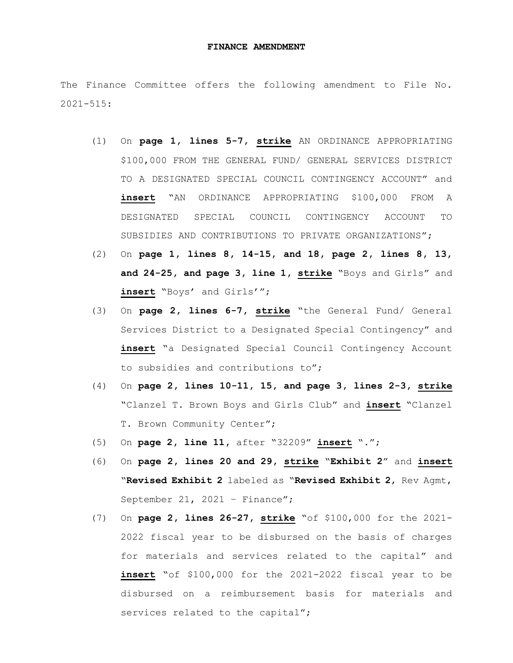## **FINANCE AMENDMENT**

The Finance Committee offers the following amendment to File No. 2021-515:

- (1) On **page 1, lines 5-7, strike** AN ORDINANCE APPROPRIATING \$100,000 FROM THE GENERAL FUND/ GENERAL SERVICES DISTRICT TO A DESIGNATED SPECIAL COUNCIL CONTINGENCY ACCOUNT" and **insert** "AN ORDINANCE APPROPRIATING \$100,000 FROM A DESIGNATED SPECIAL COUNCIL CONTINGENCY ACCOUNT TO SUBSIDIES AND CONTRIBUTIONS TO PRIVATE ORGANIZATIONS";
- (2) On **page 1, lines 8, 14-15, and 18, page 2, lines 8, 13, and 24-25, and page 3, line 1, strike** "Boys and Girls" and **insert** "Boys' and Girls'";
- (3) On **page 2, lines 6-7, strike** "the General Fund/ General Services District to a Designated Special Contingency" and **insert** "a Designated Special Council Contingency Account to subsidies and contributions to";
- (4) On **page 2, lines 10-11, 15, and page 3, lines 2-3, strike** "Clanzel T. Brown Boys and Girls Club" and **insert** "Clanzel T. Brown Community Center";
- (5) On **page 2, line 11,** after "32209" **insert** ".";
- (6) On **page 2, lines 20 and 29, strike** "**Exhibit 2**" and **insert** "**Revised Exhibit 2** labeled as "**Revised Exhibit 2**, Rev Agmt, September 21, 2021 - Finance";
- (7) On **page 2, lines 26-27, strike** "of \$100,000 for the 2021- 2022 fiscal year to be disbursed on the basis of charges for materials and services related to the capital" and **insert** "of \$100,000 for the 2021-2022 fiscal year to be disbursed on a reimbursement basis for materials and services related to the capital";